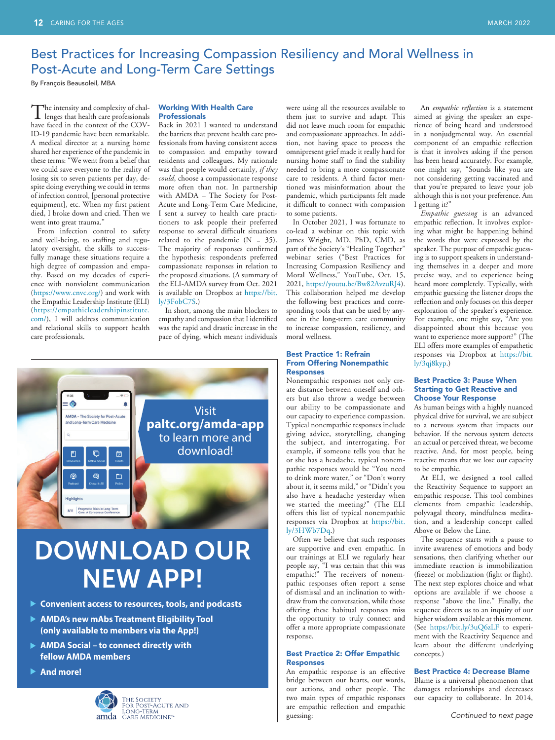### Best Practices for Increasing Compassion Resiliency and Moral Wellness in Post-Acute and Long-Term Care Settings

By François Beausoleil, MBA

The intensity and complexity of chal-lenges that health care professionals have faced in the context of the COV-ID-19 pandemic have been remarkable. A medical director at a nursing home shared her experience of the pandemic in these terms: "We went from a belief that we could save everyone to the reality of losing six to seven patients per day, despite doing everything we could in terms of infection control, [personal protective equipment], etc. When my first patient died, I broke down and cried. Then we went into great trauma."

From infection control to safety and well-being, to staffing and regulatory oversight, the skills to successfully manage these situations require a high degree of compassion and empathy. Based on my decades of experience with nonviolent communication [\(https://www.cnvc.org/](https://www.cnvc.org/)) and work with the Empathic Leadership Institute (ELI) ([https://empathicleadershipinstitute.](https://empathicleadershipinstitute.com/) [com/](https://empathicleadershipinstitute.com/)), I will address communication and relational skills to support health care professionals.

#### Working With Health Care **Professionals**

Back in 2021 I wanted to understand the barriers that prevent health care professionals from having consistent access to compassion and empathy toward residents and colleagues. My rationale was that people would certainly, *if they could*, choose a compassionate response more often than not. In partnership with AMDA – The Society for Post-Acute and Long-Term Care Medicine, I sent a survey to health care practitioners to ask people their preferred response to several difficult situations related to the pandemic  $(N = 35)$ . The majority of responses confirmed the hypothesis: respondents preferred compassionate responses in relation to the proposed situations. (A summary of the ELI-AMDA survey from Oct. 2021 is available on Dropbox at [https://bit.](https://bit.ly/3FobC7S) [ly/3FobC7S.](https://bit.ly/3FobC7S))

In short, among the main blockers to empathy and compassion that I identified was the rapid and drastic increase in the pace of dying, which meant individuals



# DOWNLOAD OUR NEW APP!

- **Convenient access to resources, tools, and podcasts**
- **AMDA's new mAbs Treatment Eligibility Tool (only available to members via the App!)**
- **AMDA Social to connect directly with fellow AMDA members**
- **And more!**



were using all the resources available to them just to survive and adapt. This did not leave much room for empathic and compassionate approaches. In addition, not having space to process the omnipresent grief made it really hard for nursing home staff to find the stability needed to bring a more compassionate care to residents. A third factor mentioned was misinformation about the pandemic, which participants felt made it difficult to connect with compassion to some patients.

In October 2021, I was fortunate to co-lead a webinar on this topic with James Wright, MD, PhD, CMD, as part of the Society's "Healing Together" webinar series ("Best Practices for Increasing Compassion Resiliency and Moral Wellness," YouTube, Oct. 15, 2021, <https://youtu.be/Bw82AvzuRJ4>). This collaboration helped me develop the following best practices and corresponding tools that can be used by anyone in the long-term care community to increase compassion, resiliency, and moral wellness.

#### Best Practice 1: Refrain From Offering Nonempathic Responses

Nonempathic responses not only create distance between oneself and others but also throw a wedge between our ability to be compassionate and our capacity to experience compassion. Typical nonempathic responses include giving advice, storytelling, changing the subject, and interrogating. For example, if someone tells you that he or she has a headache, typical nonempathic responses would be "You need to drink more water," or "Don't worry about it, it seems mild," or "Didn't you also have a headache yesterday when we started the meeting?" (The ELI offers this list of typical nonempathic responses via Dropbox at [https://bit.](https://bit.ly/3HWb7Dq)  $ly/3HWb7Dq.$ 

Often we believe that such responses are supportive and even empathic. In our trainings at ELI we regularly hear people say, "I was certain that this was empathic!" The receivers of nonempathic responses often report a sense of dismissal and an inclination to withdraw from the conversation, while those offering these habitual responses miss the opportunity to truly connect and offer a more appropriate compassionate response.

#### Best Practice 2: Offer Empathic Responses

An empathic response is an effective bridge between our hearts, our words, our actions, and other people. The two main types of empathic responses are empathic reflection and empathic guessing:

An *empathic reflection* is a statement aimed at giving the speaker an experience of being heard and understood in a nonjudgmental way. An essential component of an empathic reflection is that it involves asking if the person has been heard accurately. For example, one might say, "Sounds like you are not considering getting vaccinated and that you're prepared to leave your job although this is not your preference. Am I getting it?"

*Empathic guessing* is an advanced empathic reflection. It involves exploring what might be happening behind the words that were expressed by the speaker. The purpose of empathic guessing is to support speakers in understanding themselves in a deeper and more precise way, and to experience being heard more completely. Typically, with empathic guessing the listener drops the reflection and only focuses on this deeper exploration of the speaker's experience. For example, one might say, "Are you disappointed about this because you want to experience more support?" (The ELI offers more examples of empathetic responses via Dropbox at [https://bit.](https://bit.ly/3qj8kyp)  $ly/3qj8kyp.$ 

#### Best Practice 3: Pause When Starting to Get Reactive and Choose Your Response

As human beings with a highly nuanced physical drive for survival, we are subject to a nervous system that impacts our behavior. If the nervous system detects an actual or perceived threat, we become reactive. And, for most people, being reactive means that we lose our capacity to be empathic.

At ELI, we designed a tool called the Reactivity Sequence to support an empathic response. This tool combines elements from empathic leadership, polyvagal theory, mindfulness meditation, and a leadership concept called Above or Below the Line.

The sequence starts with a pause to invite awareness of emotions and body sensations, then clarifying whether our immediate reaction is immobilization (freeze) or mobilization (fight or flight). The next step explores choice and what options are available if we choose a response "above the line." Finally, the sequence directs us to an inquiry of our higher wisdom available at this moment. (See <https://bit.ly/3uQ6zLF>to experiment with the Reactivity Sequence and learn about the different underlying concepts.)

#### Best Practice 4: Decrease Blame

Blame is a universal phenomenon that damages relationships and decreases our capacity to collaborate. In 2014,